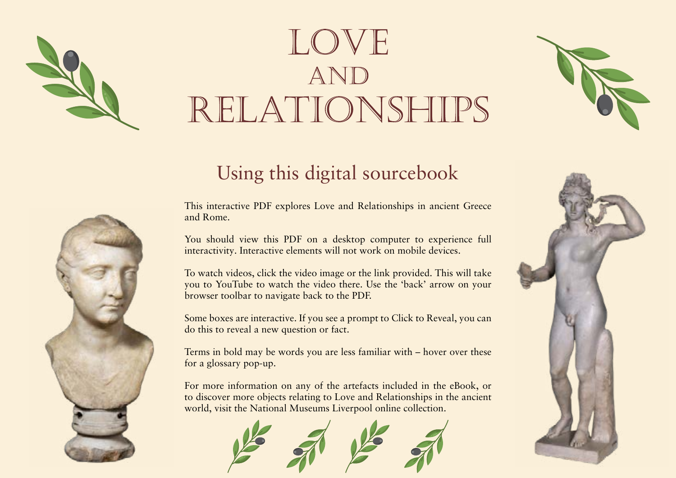# LOVE RELATIONSHIPS

## Using this digital sourcebook

This interactive PDF explores Love and Relationships in ancient Greece and Rome.

You should view this PDF on a desktop computer to experience full interactivity. Interactive elements will not work on mobile devices.

To watch videos, click the video image or the link provided. This will take you to YouTube to watch the video there. Use the 'back' arrow on your browser toolbar to navigate back to the PDF.

Some boxes are interactive. If you see a prompt to Click to Reveal, you can do this to reveal a new question or fact.

Terms in bold may be words you are less familiar with – hover over these for a glossary pop-up.

For more information on any of the artefacts included in the eBook, or to discover more objects relating to Love and Relationships in the ancient world, visit the National Museums Liverpool online collection.







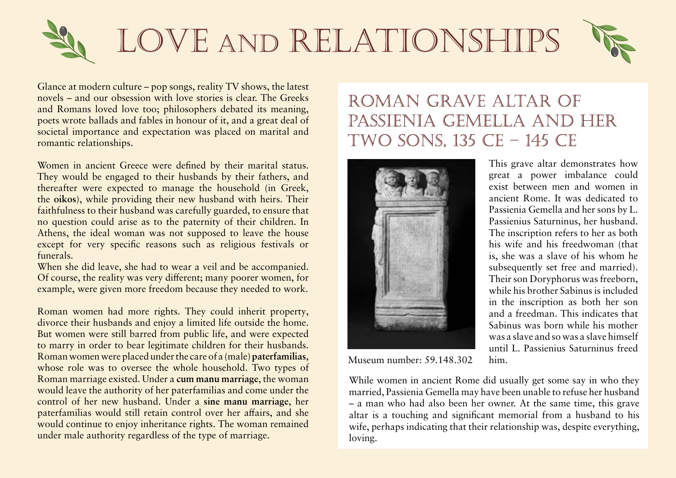

Glance at modern culture – pop songs, reality TV shows, the latest novels – and our obsession with love stories is clear. The Greeks and Romans loved love too; philosophers debated its meaning, poets wrote ballads and fables in honour of it, and a great deal of societal importance and expectation was placed on marital and romantic relationships.

Women in ancient Greece were defined by their marital status. They would be engaged to their husbands by their fathers, and thereafter were expected to manage the household (in Greek, the **oikos**), while providing their new husband with heirs. Their

Greek: the household as **allows** scarefully guarded, to ensure that ise as to the paternity of their children. In

Athens, the ideal woman was not supposed to leave the house except for very specific reasons such as religious festivals or funerals.

When she did leave, she had to wear a veil and be accompanied. Of course, the reality was very different; many poorer women, for example, were given more freedom because they needed to work.

Roman women had more rights. They could inherit property, divorce their husbands and enjoy a limited life outside the home. But women were still barred from public life, and were expected to marry in order to bear legitimate children for their husbands. Roman women were placed under the care of a (male) **paterfamilias**, Greek: the household<br>
ise as to the paternity of their children. In<br>
Athens, the Ideal woman was not supposed to leave the house<br>
except for very specific reasons such as religious festivals or<br>
funeshe did leave, she had

whose role was to oversee the whole household. Two types of the whole householders of the state of the state of the state of the state of the state of the state of the state of the state of the state of the state of the st paterfamilias would still would continue to enjoy under male authority regard

Roman marriage existed. Under a c<sup>Roman:</sup> the (male) head of would leave the authority of her new buy Roman: a marriage in which lembers of control of her new huse Roman: a marriage in which imported the materializes would still the woman left the authority of  $\vert$ <sub>V</sub> women her paterfamilias and her new husband took control of her are the a household, who had legal Roman: a marriage in which lembers of the woman left the authority of  $\|y\|$  women

authority of the pater dmilias,

## ROMAN GRAVE ALTAR OF PASSIENIA GEMELLA AND HER TWO SONS, 135 CE - 145 CE



This grave altar demonstrates how great a power imbalance could exist between men and women in ancient Rome. It was dedicated to Passienia Gemella and her sons by L. Passienius Saturninus, her husband. The inscription refers to her as both his wife and his freedwoman (that is, she was a slave of his whom he subsequently set free and married). Their son Doryphorus was freeborn, while his brother Sabinus is included in the inscription as both her son and a freedman. This indicates that Sabinus was born while his mother was a slave and so was a slave himself until L. Passienius Saturninus freed

Museum number: 59.148.302 him.

While women in ancient Rome did usually get some say in who they married, Passienia Gemella may have been unable to refuse her husband – a man who had also been her owner. At the same time, this grave altar is a touching and significant memorial from a husband to his wife, perhaps indicating that their relationship was, despite everything, loving.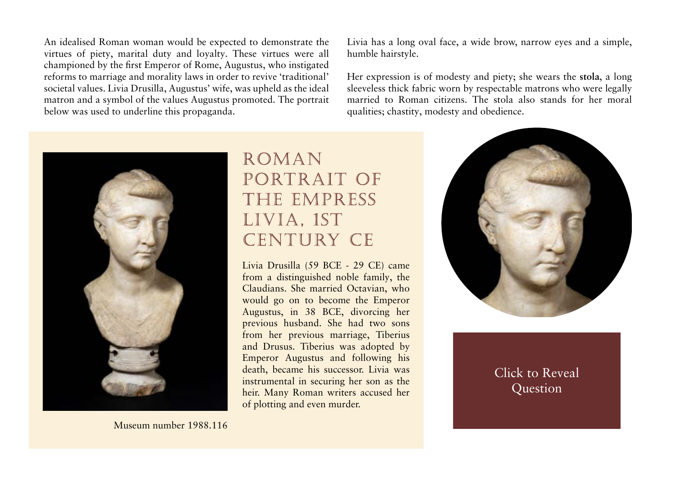An idealised Roman woman would be expected to demonstrate the virtues of piety, marital duty and loyalty. These virtues were all championed by the first Emperor of Rome, Augustus, who instigated reforms to marriage and morality laws in order to revive 'traditional' societal values. Livia Drusilla, Augustus' wife, was upheld as the ideal matron and a symbol of the values Augustus promoted. The portrait below was used to underline this propaganda.

Livia has a long oval face, a wide brow, narrow eyes and a simple, humble hairstyle.

Her expression is of modesty and piety; she wears the **stola**, a long sleeveless thick fabric worn by respect

married to Roman citizens. The sto qualities: chastity, modesty and obediRoman: a long dress worn by women to symbolise their status as matrons married to Roman male citizens



## ROMAN PORTRAIT OF THE EMPRESS LIVIA, 1ST CENTURY CE

Livia Drusilla (59 BCE - 29 CE) came from a distinguished noble family, the Claudians. She married Octavian, who would go on to become the Emperor Augustus, in 38 BCE, divorcing her previous husband. She had two sons from her previous marriage, Tiberius and Drusus. Tiberius was adopted by Emperor Augustus and following his death, became his successor. Livia was instrumental in securing her son as the heir. Many Roman writers accused her of plotting and even murder. death, became his successor. Livia was<br>instrumental in securing her son as the<br>heir. Many Roman writers accused her<br>of plotting and even murder.<br>Museum number 1988.116<br>Nuseum number 1988.116



**Augustus represented his wife Livia as a model for the traditional values he wanted to promote. Later Roman writers portrayed her as ruthless and ambitious.**

 $\mathcal{L}$ **To what extent can we draw an accurate portrait of Livia from this conflicting evidence?**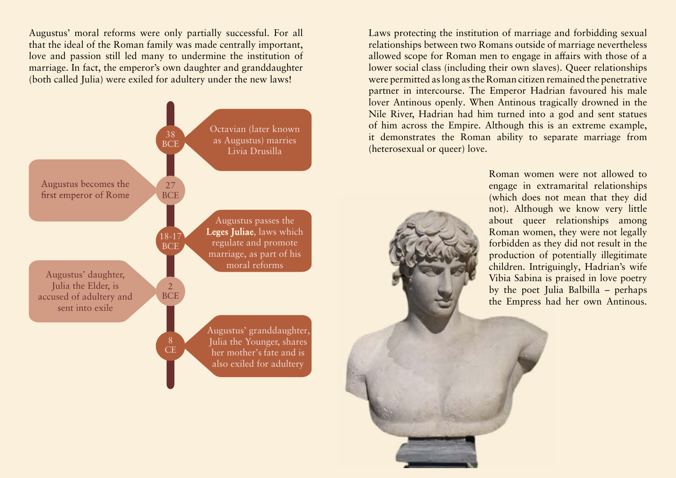Augustus' moral reforms were only partially successful. For all that the ideal of the Roman family was made centrally important, love and passion still led many to undermine the institution of marriage. In fact, the emperor's own daughter and granddaughter (both called Julia) were exiled for adultery under the new laws!



Laws protecting the institution of marriage and forbidding sexual relationships between two Romans outside of marriage nevertheless allowed scope for Roman men to engage in affairs with those of a lower social class (including their own slaves). Queer relationships were permitted as long as the Roman citizen remained the penetrative partner in intercourse. The Emperor Hadrian favoured his male lover Antinous openly. When Antinous tragically drowned in the Nile River, Hadrian had him turned into a god and sent statues of him across the Empire. Although this is an extreme example, it demonstrates the Roman ability to separate marriage from (heterosexual or queer) love.

> Roman women were not allowed to engage in extramarital relationships (which does not mean that they did not). Although we know very little about queer relationships among Roman women, they were not legally forbidden as they did not result in the production of potentially illegitimate children. Intriguingly, Hadrian's wife Vibia Sabina is praised in love poetry by the poet Julia Balbilla – perhaps the Empress had her own Antinous.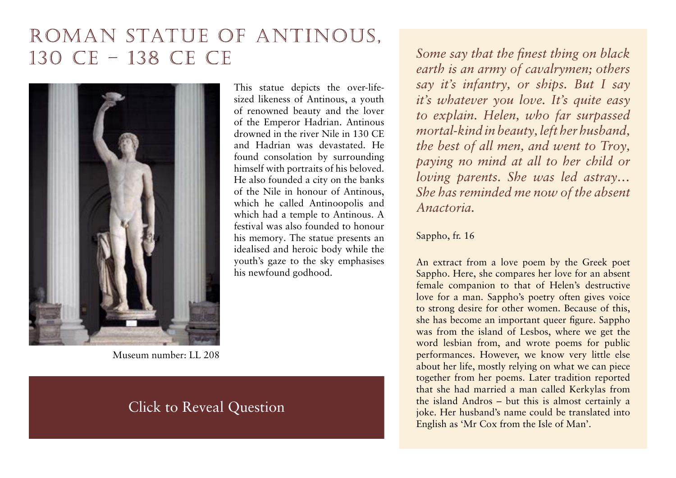## ROMAN STATUE OF ANTINOUS, 130 CE - 138 CE CE



Museum number: LL 208

#### **ancient world. Click to Reveal Question the types of evidence which survives from Greece and Rome.**

This statue depicts the over-lifesized likeness of Antinous, a youth of renowned beauty and the lover of the Emperor Hadrian. Antinous drowned in the river Nile in 130 CE and Hadrian was devastated. He found consolation by surrounding himself with portraits of his beloved. He also founded a city on the banks of the Nile in honour of Antinous, which he called Antinoopolis and which had a temple to Antinous. A festival was also founded to honour his memory. The statue presents an idealised and heroic body while the youth's gaze to the sky emphasises his newfound godhood.

*Some say that the finest thing on black earth is an army of cavalrymen; others say it's infantry, or ships. But I say it's whatever you love. It's quite easy to explain. Helen, who far surpassed mortal-kind in beauty, left her husband, the best of all men, and went to Troy, paying no mind at all to her child or loving parents. She was led astray… She has reminded me now of the absent Anactoria.* 

#### Sappho, fr. 16

An extract from a love poem by the Greek poet Sappho. Here, she compares her love for an absent female companion to that of Helen's destructive love for a man. Sappho's poetry often gives voice to strong desire for other women. Because of this, she has become an important queer figure. Sappho was from the island of Lesbos, where we get the word lesbian from, and wrote poems for public performances. However, we know very little else about her life, mostly relying on what we can piece together from her poems. Later tradition reported that she had married a man called Kerkylas from the island Andros – but this is almost certainly a joke. Her husband's name could be translated into English as 'Mr Cox from the Isle of Man'.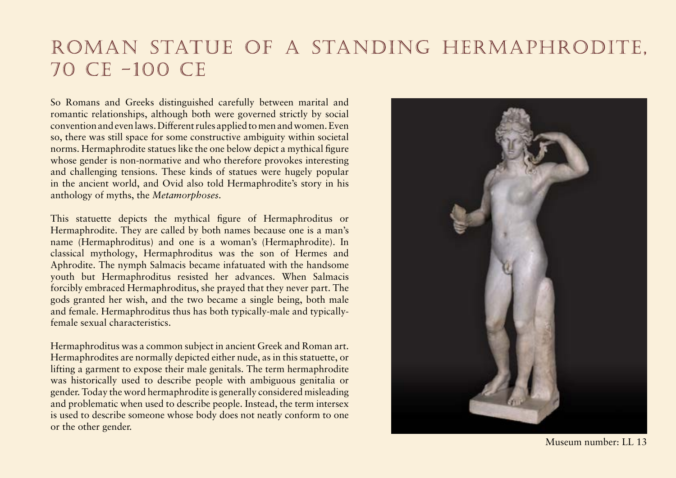## ROMAN STATUE OF A STANDING HERMAPHRODITE, 70 CE -100 CE

So Romans and Greeks distinguished carefully between marital and romantic relationships, although both were governed strictly by social convention and even laws. Different rules applied to men and women. Even so, there was still space for some constructive ambiguity within societal norms. Hermaphrodite statues like the one below depict a mythical figure whose gender is non-normative and who therefore provokes interesting and challenging tensions. These kinds of statues were hugely popular in the ancient world, and Ovid also told Hermaphrodite's story in his anthology of myths, the *Metamorphoses.*

This statuette depicts the mythical figure of Hermaphroditus or Hermaphrodite. They are called by both names because one is a man's name (Hermaphroditus) and one is a woman's (Hermaphrodite). In classical mythology, Hermaphroditus was the son of Hermes and Aphrodite. The nymph Salmacis became infatuated with the handsome youth but Hermaphroditus resisted her advances. When Salmacis forcibly embraced Hermaphroditus, she prayed that they never part. The gods granted her wish, and the two became a single being, both male and female. Hermaphroditus thus has both typically-male and typicallyfemale sexual characteristics.

Hermaphroditus was a common subject in ancient Greek and Roman art. Hermaphrodites are normally depicted either nude, as in this statuette, or lifting a garment to expose their male genitals. The term hermaphrodite was historically used to describe people with ambiguous genitalia or gender. Today the word hermaphrodite is generally considered misleading and problematic when used to describe people. Instead, the term intersex is used to describe someone whose body does not neatly conform to one or the other gender.



Museum number: LL 13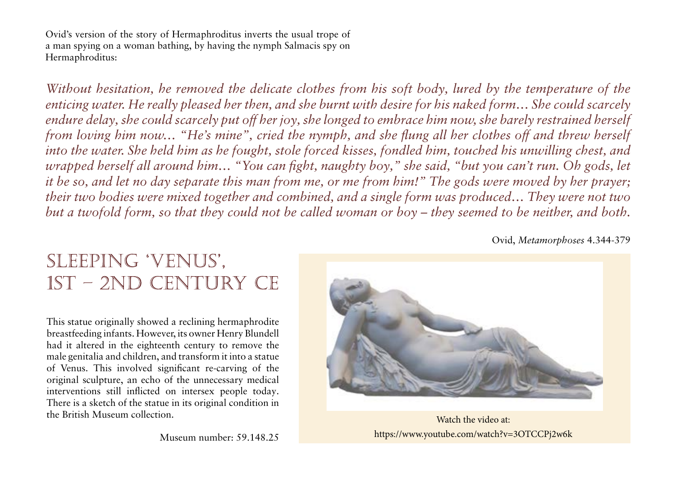Ovid's version of the story of Hermaphroditus inverts the usual trope of a man spying on a woman bathing, by having the nymph Salmacis spy on Hermaphroditus:

*Without hesitation, he removed the delicate clothes from his soft body, lured by the temperature of the enticing water. He really pleased her then, and she burnt with desire for his naked form… She could scarcely endure delay, she could scarcely put off her joy, she longed to embrace him now, she barely restrained herself from loving him now… "He's mine", cried the nymph, and she flung all her clothes off and threw herself into the water. She held him as he fought, stole forced kisses, fondled him, touched his unwilling chest, and wrapped herself all around him… "You can fight, naughty boy," she said, "but you can't run. Oh gods, let it be so, and let no day separate this man from me, or me from him!" The gods were moved by her prayer; their two bodies were mixed together and combined, and a single form was produced… They were not two but a twofold form, so that they could not be called woman or boy – they seemed to be neither, and both.*

Ovid, *Metamorphoses* 4.344-379

## SLEEPING 'VENUS', 1ST - 2ND CENTURY CE

This statue originally showed a reclining hermaphrodite breastfeeding infants. However, its owner Henry Blundell had it altered in the eighteenth century to remove the male genitalia and children, and transform it into a statue of Venus. This involved significant re-carving of the original sculpture, an echo of the unnecessary medical interventions still inflicted on intersex people today. There is a sketch of the statue in its original condition in the British Museum collection.



Museum number: 59.148.25 <https://www.youtube.com/watch?v=3OTCCPj2w6k> Watch the video at: